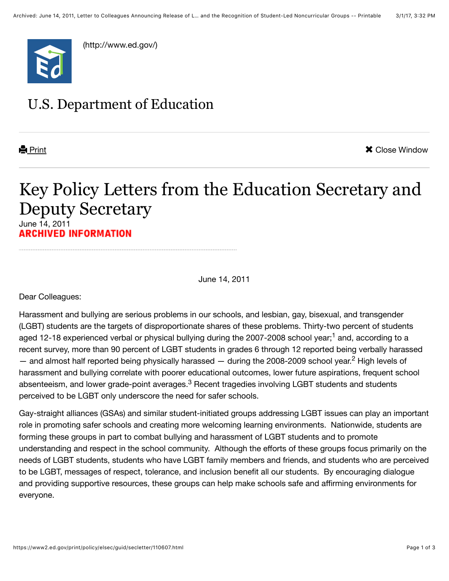

[\(http://www.ed.gov/\)](http://www.ed.gov/)

## U.S. Department of Education

**Print [Close Window](https://www2.ed.gov/print/policy/elsec/guid/secletter/110607.html#) X** Close Window

## Key Policy Letters from the Education Secretary and Deputy Secretary June 14, 2011 **ARCHIVED INFORMATION**

June 14, 2011

Dear Colleagues:

Harassment and bullying are serious problems in our schools, and lesbian, gay, bisexual, and transgender (LGBT) students are the targets of disproportionate shares of these problems. Thirty-two percent of students aged [1](https://www2.ed.gov/print/policy/elsec/guid/secletter/110607.html#_ftn1)2-18 experienced verbal or physical bullying during the 2007-2008 school year;<sup>1</sup> and, according to a recent survey, more than 90 percent of LGBT students in grades 6 through 12 reported being verbally harassed  $-$  and almost half reported being physically harassed  $-$  during the 2008-2009 school year.<sup>2</sup> High levels of harassment and bullying correlate with poorer educational outcomes, lower future aspirations, frequent school absenteeism, and lower grade-point averages. $^3$  [R](https://www2.ed.gov/print/policy/elsec/guid/secletter/110607.html#_ftn3)ecent tragedies involving LGBT students and students perceived to be LGBT only underscore the need for safer schools.

Gay-straight alliances (GSAs) and similar student-initiated groups addressing LGBT issues can play an important role in promoting safer schools and creating more welcoming learning environments. Nationwide, students are forming these groups in part to combat bullying and harassment of LGBT students and to promote understanding and respect in the school community. Although the efforts of these groups focus primarily on the needs of LGBT students, students who have LGBT family members and friends, and students who are perceived to be LGBT, messages of respect, tolerance, and inclusion benefit all our students. By encouraging dialogue and providing supportive resources, these groups can help make schools safe and affirming environments for everyone.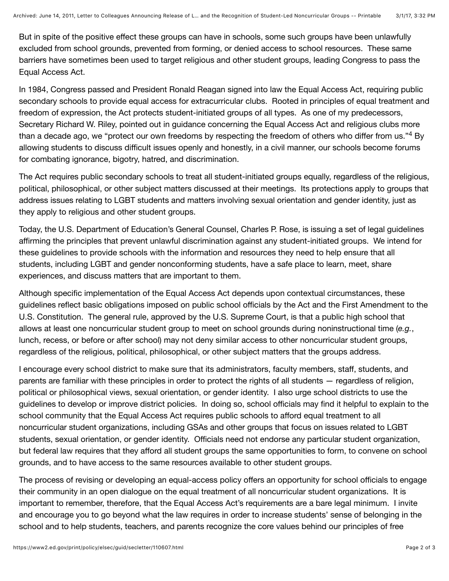But in spite of the positive effect these groups can have in schools, some such groups have been unlawfully excluded from school grounds, prevented from forming, or denied access to school resources. These same barriers have sometimes been used to target religious and other student groups, leading Congress to pass the Equal Access Act.

In 1984, Congress passed and President Ronald Reagan signed into law the Equal Access Act, requiring public secondary schools to provide equal access for extracurricular clubs. Rooted in principles of equal treatment and freedom of expression, the Act protects student-initiated groups of all types. As one of my predecessors, Secretary Richard W. Riley, pointed out in guidance concerning the Equal Access Act and religious clubs more than a decade ago, we "protect our own freedoms by respecting the freedom of others who differ from us."<sup>4</sup> [B](https://www2.ed.gov/print/policy/elsec/guid/secletter/110607.html#_ftn4)y allowing students to discuss difficult issues openly and honestly, in a civil manner, our schools become forums for combating ignorance, bigotry, hatred, and discrimination.

The Act requires public secondary schools to treat all student-initiated groups equally, regardless of the religious, political, philosophical, or other subject matters discussed at their meetings. Its protections apply to groups that address issues relating to LGBT students and matters involving sexual orientation and gender identity, just as they apply to religious and other student groups.

Today, the U.S. Department of Education's General Counsel, Charles P. Rose, is issuing a set of legal guidelines affirming the principles that prevent unlawful discrimination against any student-initiated groups. We intend for these guidelines to provide schools with the information and resources they need to help ensure that all students, including LGBT and gender nonconforming students, have a safe place to learn, meet, share experiences, and discuss matters that are important to them.

Although specific implementation of the Equal Access Act depends upon contextual circumstances, these guidelines reflect basic obligations imposed on public school officials by the Act and the First Amendment to the U.S. Constitution. The general rule, approved by the U.S. Supreme Court, is that a public high school that allows at least one noncurricular student group to meet on school grounds during noninstructional time (*e.g.*, lunch, recess, or before or after school) may not deny similar access to other noncurricular student groups, regardless of the religious, political, philosophical, or other subject matters that the groups address.

I encourage every school district to make sure that its administrators, faculty members, staff, students, and parents are familiar with these principles in order to protect the rights of all students — regardless of religion, political or philosophical views, sexual orientation, or gender identity. I also urge school districts to use the guidelines to develop or improve district policies. In doing so, school officials may find it helpful to explain to the school community that the Equal Access Act requires public schools to afford equal treatment to all noncurricular student organizations, including GSAs and other groups that focus on issues related to LGBT students, sexual orientation, or gender identity. Officials need not endorse any particular student organization, but federal law requires that they afford all student groups the same opportunities to form, to convene on school grounds, and to have access to the same resources available to other student groups.

The process of revising or developing an equal-access policy offers an opportunity for school officials to engage their community in an open dialogue on the equal treatment of all noncurricular student organizations. It is important to remember, therefore, that the Equal Access Act's requirements are a bare legal minimum. I invite and encourage you to go beyond what the law requires in order to increase students' sense of belonging in the school and to help students, teachers, and parents recognize the core values behind our principles of free